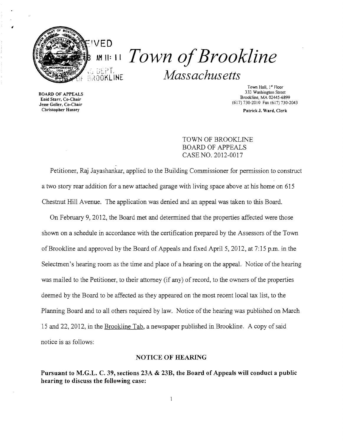

**AM II:** I I *Town ofBrookline Massachusetts* 

**BOARD OF APPEALS** 

Town Hall, 1<sup>st</sup> Floor<br>333 Washington Street Brookline, MA 02445-6899 Enid Starr, Co-Chair (617)730-2010 Fax (617)730-2043 Jesse Geller, Co-Chair

Christopher Hussey Patrick J. Ward, Clerk

TOWN OF BROOKLINE BOARD OF APPEALS CASE NO. 2012-0017

Petitioner, Raj Jayashankar, applied to the Building Commissioner for permission to construct a two story rear addition for a new attached garage with living space above at his home on 615 Chestnut Hill Avenue. The application was denied and an appeal was taken to this Board.

On February 9, 2012, the Board met and detennined that the properties affected were those shown on a schedule in accordance with the certification prepared by the Assessors of the Town of Brookline and approved by the Board of Appeals and fixed April 5, 2012, at 7:15 p.m. in the Selectmen's hearing room as the time and place of a hearing on the appeal. Notice of the hearing was mailed to the Petitioner, to their attorney (if any) of record, to the owners of the properties deemed by the Board to be affected as they appeared on the most recent local tax list, to the Planning Board and to all others required by law. Notice of the hearing was published on March 15 and 22, 2012, in the Brooldine Tab, a newspaper published in Brookline. A copy of said notice is as follows:

## NOTICE OF HEARING

Pursuant to M.G.L. C. 39, sections 23A & 23B, the Board of Appeals will conduct a public hearing to discuss the following case: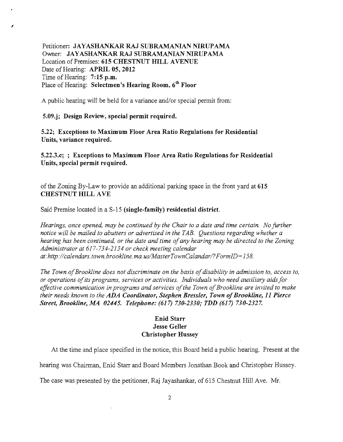Petitioner: JAYASHANKAR RAJ SUBRAMANIAN NIRUPAMA Owner: JAYASHANKAR RAJ SUBRAMANIAN NIRUPAMA Location of Premises: 615 CHESTNUT HILL AVENUE Date of Hearing: APRIL 05, 2012 Time of Hearing: 7:15 p.m. Place of Hearing: Selectmen's Hearing Room, 6<sup>th</sup> Floor

A public hearing will be held for a variance and/or special pennit from:

5.09.j; Design Review, special permit required.

I

5.22; Exceptions to Maximum Floor Area Ratio Regulations for Residential Units, variance required.

5.22.3.c; ; Exceptions to Maximum Floor Area Ratio Regulations for Residential Units, special permit required.

of the Zoning By-Law to provide an additional parking space in the front yard at 615 CHESTNUT HILL AVE

Said Premise located in a S-15 (single-family) residential district.

*Hearings, once opened, may be continued by the Chair to a date and time certain. No further notice will be mailed to abutters or advertised in the TAB. Questions regarding whether a hearing has been continued, or the date and time ofany hearing may be directed to the Zoning Administrator at* 617-734-2134 *or check meeting calendar at:http://calendars.town.brookline.ma.usIMasterTownCalandarl?FormID=158.* 

The Town of Brookline does not discriminate on the basis of disability in admission to, access to, Or *operations ofits programs, services or activities. Individuals who need au..:dliary aidsfor*  effective communication in programs and services of the Town of Brookline are invited to make *their needs known to the* ADA *Coordinator, Stephen Bressler, Town ofBrookline,* 11 *Pierce Street, Brookline, MA* 02445. *Telephone:* (617) 730-2330; *TDD* (617) 730-2327.

## Enid Starr Jesse Geller Christopher Hussey

At the time and place specified in the notice, this Board held a public hearing. Present at the

hearing was Chairman, Enid Starr and Board Members Jonathan Book and Christopher Hussey.

The case was presented by the petitioner, Raj Jayashankar, of 615 Chestnut Hill Ave. Mr.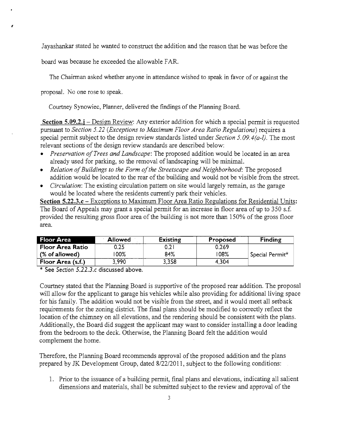Jayashankar stated he wanted to construct the addition and the reason that he was before the

board was because he exceeded the allowable FAR.

The Chairman asked whether anyone in attendance wished to speak in favor of or against the

proposal. No one rose to speak.

,

Courtney Synowiec, Planner, delivered the findings of the Planning Board.

**Section 5.09.2.j** – Design Review: Any exterior addition for which a special permit is requested pursuant to *Section* 5.22 *(Exceptions to Maximum Floor Area Ratio Regulations)* requires a special permit subject to the design review standards listed under *Section 5.09. 4(a-l).* The most relevant sections of the design review standards are described below:

- *Preservation of Trees and Landscape*: The proposed addition would be located in an area already used for parking, so the removal of landscaping will be minimal.
- Relation of Buildings to the Form of the Streetscape and Neighborhood: The proposed addition would be located to the rear of the building and would not be visible from the street.
- *Circulation:* The existing circulation pattern on site would largely remain, as the garage would be located where the residents currently park their vehicles.

**Section 5.22.3.c** – Exceptions to Maximum Floor Area Ratio Regulations for Residential Units: The Board of Appeals may grant a special permit for an increase in floor area of up to 350 s.f. provided the resulting gross floor area of the building is not more than 150% of the gross floor area.

| <b>Floor Area</b>       | <b>Allowed</b> | Existing | Proposed | Finding                     |
|-------------------------|----------------|----------|----------|-----------------------------|
| <b>Floor Area Ratio</b> | 0.25           | 0.2      | 0.269    |                             |
| $%$ of allowed)         | 00%            | 84%      | 08%      | Special Permit <sup>*</sup> |
| Floor Area (s.f.)       | 3.990          | 3,358    | 4.304    |                             |

\* See *Section 5.22.3.c* discussed above.

Courtney stated that the Planning Board is supportive of the proposed rear addition. The proposal will allow for the applicant to garage his vehicles while also providing for additional living space for his family. The addition would not be visible from the street, and it would meet all setback requirements for the zoning district. The final plans should be modified to correctly reflect the location of the chimney on all elevations, and the rendering should be consistent with the plans. Additionally, the Board did suggest the applicant may want to consider installing a door leading from the bedroom to the deck. Otherwise, the Planning Board felt the addition would complement the home.

Therefore, the Planning Board recommends approval of the proposed addition and the plans prepared by JK Development Group, dated 8/22/2011, subject to the following conditions:

1. Prior to the issuance of a building permit, final plans and elevations, indicating all salient dimensions and materials, shall be submitted subject to the review and approval of the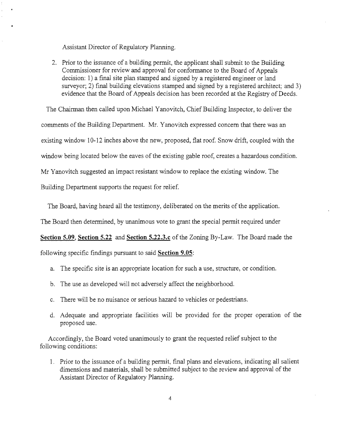Assistant Director of Regulatory Planning.

2. Prior to the issuance of a building permit, the applicant shall submit to the Building Commissioner for review and approval for conformance to the Board of Appeals decision: 1) a final site plan stamped and signed by a registered engineer or land surveyor; 2) final building elevations stamped and signed by a registered architect; and 3) evidence that the Board of Appeals decision has been recorded at the Registry of Deeds.

The Chairman then called upon Michael Yanovitch, Chief Building Inspector, to deliver the comments of the Building Department. Mr. Yanovitch expressed concern that there was an existing window 10-12 inches above the new, proposed, flat roof. Snow drift, coupled with the window being located below the eaves of the existing gable roof, creates a hazardous condition. Mr Yanovitch suggested an impact resistant window to replace the existing window. The Building Department supports the request for relief.

The Board, having heard all the testimony, deliberated on the merits of the application.

The Board then determined, by unanimous vote to grant the special permit required under

**Section 5.09, Section 5.22 and Section 5.22.3.c** of the Zoning By-Law. The Board made the

following specific findings pursuant to said **Section 9.05:** 

- a. The specific site is an appropriate location for such a use, structure, or condition.
- b. The use as developed will not adversely affect the neighborhood.
- c. There will be no nuisance or serious hazard to vehicles or pedestrians.
- d. Adequate and appropriate facilities will be provided for the proper operation of the proposed use.

Accordingly, the Board voted unanimously to grant the requested relief subject to the following conditions:

1. Prior to the issuance of a building permit, final plans and elevations, indicating all salient dimensions and materials, shall be submitted subject to the review and approval of the Assistant Director of Regulatory Planning.